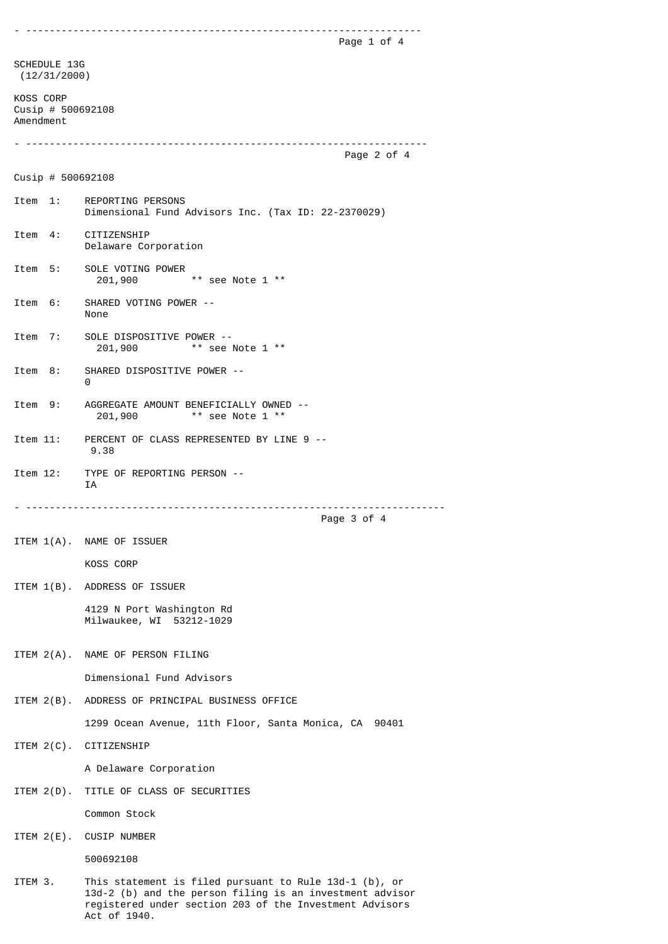- ------------------------------------------------------------------- Page 1 of 4 SCHEDULE 13G (12/31/2000) KOSS CORP Cusip # 500692108 Amendment - -------------------------------------------------------------------- Page 2 of 4 Cusip # 500692108 Item 1: REPORTING PERSONS Dimensional Fund Advisors Inc. (Tax ID: 22-2370029) Item 4: CITIZENSHIP Delaware Corporation Item 5: SOLE VOTING POWER 201,900 \*\* see Note 1 \*\* Item 6: SHARED VOTING POWER -- None Item 7: SOLE DISPOSITIVE POWER -- 201,900 \*\* see Note 1 \*\* Item 8: SHARED DISPOSITIVE POWER -- 0 Item 9: AGGREGATE AMOUNT BENEFICIALLY OWNED -- 201,900 \*\* see Note 1 \*\* Item 11: PERCENT OF CLASS REPRESENTED BY LINE 9 -- 9.38 Item 12: TYPE OF REPORTING PERSON -- IA - ----------------------------------------------------------------------- Page 3 of 4 ITEM 1(A). NAME OF ISSUER KOSS CORP ITEM 1(B). ADDRESS OF ISSUER 4129 N Port Washington Rd Milwaukee, WI 53212-1029 ITEM 2(A). NAME OF PERSON FILING Dimensional Fund Advisors ITEM 2(B). ADDRESS OF PRINCIPAL BUSINESS OFFICE 1299 Ocean Avenue, 11th Floor, Santa Monica, CA 90401 ITEM 2(C). CITIZENSHIP A Delaware Corporation ITEM 2(D). TITLE OF CLASS OF SECURITIES Common Stock ITEM 2(E). CUSIP NUMBER 500692108 ITEM 3. This statement is filed pursuant to Rule 13d-1 (b), or 13d-2 (b) and the person filing is an investment advisor registered under section 203 of the Investment Advisors

Act of 1940.